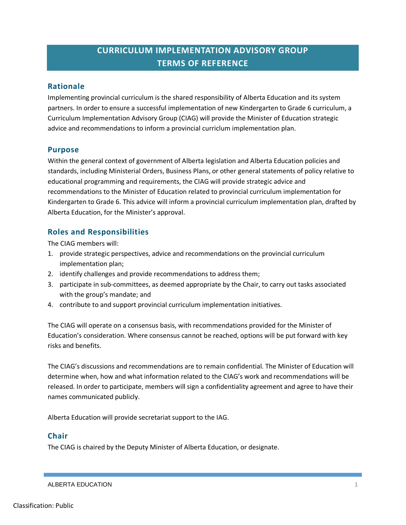# **CURRICULUM IMPLEMENTATION ADVISORY GROUP TERMS OF REFERENCE**

### **Rationale**

Implementing provincial curriculum is the shared responsibility of Alberta Education and its system partners. In order to ensure a successful implementation of new Kindergarten to Grade 6 curriculum, a Curriculum Implementation Advisory Group (CIAG) will provide the Minister of Education strategic advice and recommendations to inform a provincial curriclum implementation plan.

#### **Purpose**

Within the general context of government of Alberta legislation and Alberta Education policies and standards, including Ministerial Orders, Business Plans, or other general statements of policy relative to educational programming and requirements, the CIAG will provide strategic advice and recommendations to the Minister of Education related to provincial curriculum implementation for Kindergarten to Grade 6. This advice will inform a provincial curriculum implementation plan, drafted by Alberta Education, for the Minister's approval.

# **Roles and Responsibilities**

The CIAG members will:

- 1. provide strategic perspectives, advice and recommendations on the provincial curriculum implementation plan;
- 2. identify challenges and provide recommendations to address them;
- 3. participate in sub-committees, as deemed appropriate by the Chair, to carry out tasks associated with the group's mandate; and
- 4. contribute to and support provincial curriculum implementation initiatives.

The CIAG will operate on a consensus basis, with recommendations provided for the Minister of Education's consideration. Where consensus cannot be reached, options will be put forward with key risks and benefits.

The CIAG's discussions and recommendations are to remain confidential. The Minister of Education will determine when, how and what information related to the CIAG's work and recommendations will be released. In order to participate, members will sign a confidentiality agreement and agree to have their names communicated publicly.

Alberta Education will provide secretariat support to the IAG.

# **Chair**

The CIAG is chaired by the Deputy Minister of Alberta Education, or designate.

#### ALBERTA EDUCATION 1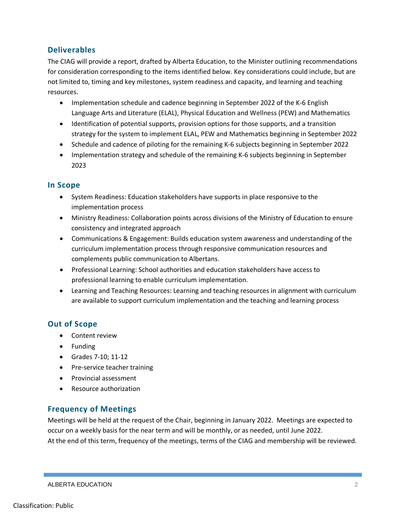# **Deliverables**

The CIAG will provide a report, drafted by Alberta Education, to the Minister outlining recommendations for consideration corresponding to the items identified below. Key considerations could include, but are not limited to, timing and key milestones, system readiness and capacity, and learning and teaching resources.

- Implementation schedule and cadence beginning in September 2022 of the K-6 English Language Arts and Literature (ELAL), Physical Education and Wellness (PEW) and Mathematics
- Identification of potential supports, provision options for those supports, and a transition strategy for the system to implement ELAL, PEW and Mathematics beginning in September 2022
- Schedule and cadence of piloting for the remaining K-6 subjects beginning in September 2022
- Implementation strategy and schedule of the remaining K-6 subjects beginning in September 2023

### **In Scope**

- System Readiness: Education stakeholders have supports in place responsive to the implementation process
- Ministry Readiness: Collaboration points across divisions of the Ministry of Education to ensure consistency and integrated approach
- Communications & Engagement: Builds education system awareness and understanding of the curriculum implementation process through responsive communication resources and complements public communication to Albertans.
- Professional Learning: School authorities and education stakeholders have access to professional learning to enable curriculum implementation.
- Learning and Teaching Resources: Learning and teaching resources in alignment with curriculum are available to support curriculum implementation and the teaching and learning process

# **Out of Scope**

- Content review
- Funding
- Grades 7-10; 11-12
- Pre-service teacher training
- Provincial assessment
- Resource authorization

# **Frequency of Meetings**

Meetings will be held at the request of the Chair, beginning in January 2022. Meetings are expected to occur on a weekly basis for the near term and will be monthly, or as needed, until June 2022. At the end of this term, frequency of the meetings, terms of the CIAG and membership will be reviewed.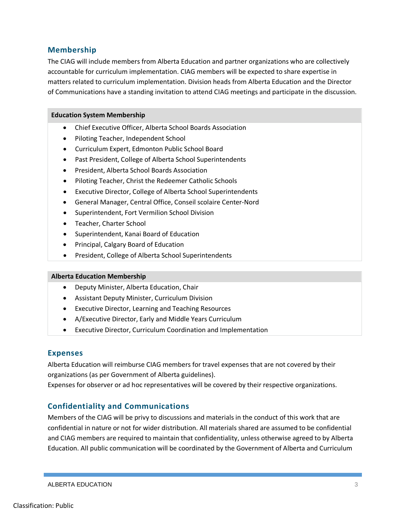### **Membership**

The CIAG will include members from Alberta Education and partner organizations who are collectively accountable for curriculum implementation. CIAG members will be expected to share expertise in matters related to curriculum implementation. Division heads from Alberta Education and the Director of Communications have a standing invitation to attend CIAG meetings and participate in the discussion.

#### **Education System Membership**

- Chief Executive Officer, Alberta School Boards Association
- Piloting Teacher, Independent School
- Curriculum Expert, Edmonton Public School Board
- Past President, College of Alberta School Superintendents
- President, Alberta School Boards Association
- Piloting Teacher, Christ the Redeemer Catholic Schools
- Executive Director, College of Alberta School Superintendents
- General Manager, Central Office, Conseil scolaire Center-Nord
- Superintendent, Fort Vermilion School Division
- Teacher, Charter School
- Superintendent, Kanai Board of Education
- Principal, Calgary Board of Education
- President, College of Alberta School Superintendents

#### **Alberta Education Membership**

- Deputy Minister, Alberta Education, Chair
- Assistant Deputy Minister, Curriculum Division
- Executive Director, Learning and Teaching Resources
- A/Executive Director, Early and Middle Years Curriculum
- Executive Director, Curriculum Coordination and Implementation

#### **Expenses**

Alberta Education will reimburse CIAG members for travel expenses that are not covered by their organizations (as per Government of Alberta guidelines).

Expenses for observer or ad hoc representatives will be covered by their respective organizations.

# **Confidentiality and Communications**

Members of the CIAG will be privy to discussions and materials in the conduct of this work that are confidential in nature or not for wider distribution. All materials shared are assumed to be confidential and CIAG members are required to maintain that confidentiality, unless otherwise agreed to by Alberta Education. All public communication will be coordinated by the Government of Alberta and Curriculum